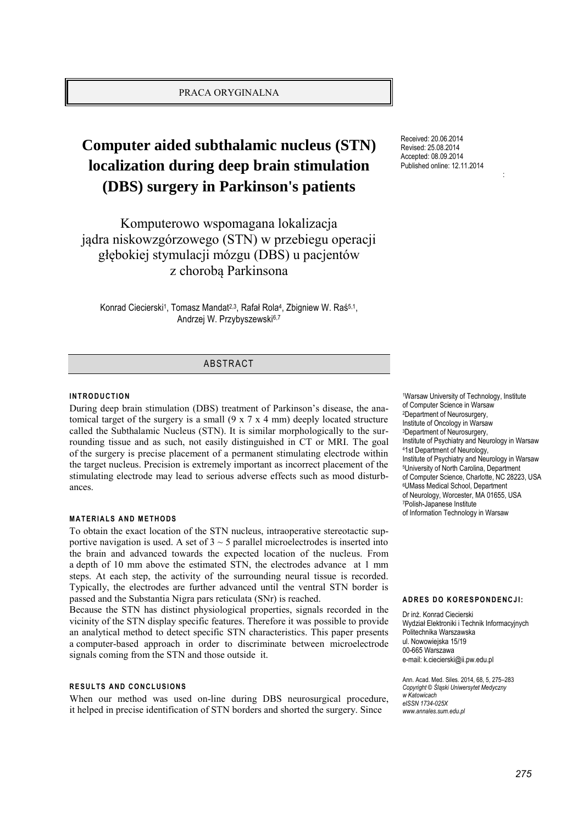# PRACA ORYGINALNA

# **Computer aided subthalamic nucleus (STN) localization during deep brain stimulation (DBS) surgery in Parkinson's patients**

Komputerowo wspomagana lokalizacja jądra niskowzgórzowego (STN) w przebiegu operacji głębokiej stymulacji mózgu (DBS) u pacjentów z chorobą Parkinsona

Konrad Ciecierski<sup>1</sup>, Tomasz Mandat<sup>2,3</sup>, Rafał Rola<sup>4</sup>, Zbigniew W. Raś<sup>5,1</sup>, Andrzej W. Przybyszewski6,7

# ABSTRACT

#### **INTRODUCTION**

During deep brain stimulation (DBS) treatment of Parkinson's disease, the anatomical target of the surgery is a small (9 x 7 x 4 mm) deeply located structure called the Subthalamic Nucleus (STN). It is similar morphologically to the surrounding tissue and as such, not easily distinguished in CT or MRI. The goal of the surgery is precise placement of a permanent stimulating electrode within the target nucleus. Precision is extremely important as incorrect placement of the stimulating electrode may lead to serious adverse effects such as mood disturbances.

#### **MATERIALS AND METHODS**

To obtain the exact location of the STN nucleus, intraoperative stereotactic supportive navigation is used. A set of  $3 \sim 5$  parallel microelectrodes is inserted into the brain and advanced towards the expected location of the nucleus. From a depth of 10 mm above the estimated STN, the electrodes advance at 1 mm steps. At each step, the activity of the surrounding neural tissue is recorded. Typically, the electrodes are further advanced until the ventral STN border is passed and the Substantia Nigra pars reticulata (SNr) is reached.

Because the STN has distinct physiological properties, signals recorded in the vicinity of the STN display specific features. Therefore it was possible to provide an analytical method to detect specific STN characteristics. This paper presents a computer-based approach in order to discriminate between microelectrode signals coming from the STN and those outside it.

#### **RESULTS AND CONCLUSIONS**

When our method was used on-line during DBS neurosurgical procedure, it helped in precise identification of STN borders and shorted the surgery. Since

Received: 20.06.2014 Revised: 25.08.2014 Accepted: 08.09.2014 Published online: 12.11.2014

:

<sup>1</sup>Warsaw University of Technology, Institute of Computer Science in Warsaw <sup>2</sup>Department of Neurosurgery, Institute of Oncology in Warsaw <sup>3</sup>Department of Neurosurgery, Institute of Psychiatry and Neurology in Warsaw <sup>4</sup>1st Department of Neurology, Institute of Psychiatry and Neurology in Warsaw <sup>5</sup>University of North Carolina, Department of Computer Science, Charlotte, NC 28223, USA <sup>6</sup>UMass Medical School, Department of Neurology, Worcester, MA 01655, USA <sup>7</sup>Polish-Japanese Institute of Information Technology in Warsaw

#### **ADRES DO KORESPONDENCJI:**

Dr inż. Konrad Ciecierski Wydział Elektroniki i Technik Informacyjnych Politechnika Warszawska ul. Nowowiejska 15/19 00-665 Warszawa e-mail: k.ciecierski@ii.pw.edu.pl

Ann. Acad. Med. Siles. 2014, 68, 5, 275–283 *Copyright © Śląski Uniwersytet Medyczny w Katowicach eISSN 1734-025X www.annales.sum.edu.pl*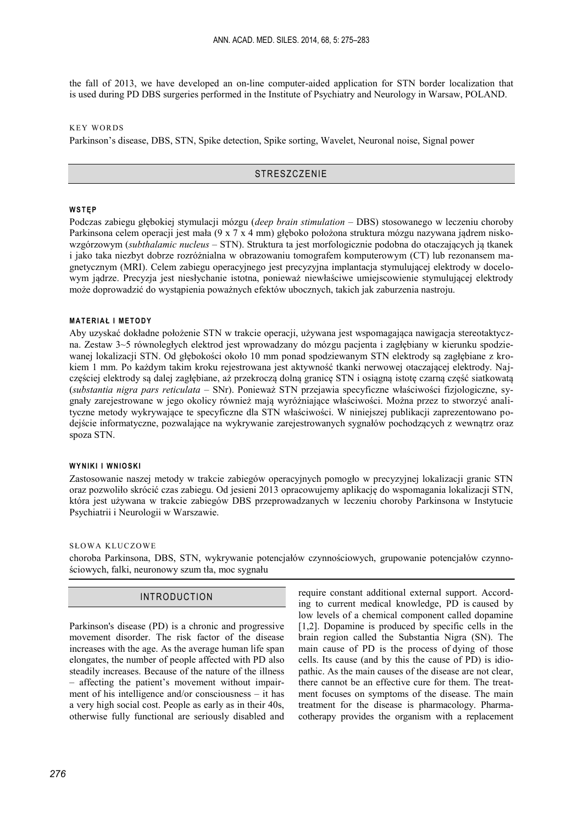the fall of 2013, we have developed an on-line computer-aided application for STN border localization that is used during PD DBS surgeries performed in the Institute of Psychiatry and Neurology in Warsaw, POLAND.

KEY WORDS

Parkinson's disease, DBS, STN, Spike detection, Spike sorting, Wavelet, Neuronal noise, Signal power

## **STRESZCZENIE**

# **W S T Ę P**

Podczas zabiegu głębokiej stymulacji mózgu (*deep brain stimulation* – DBS) stosowanego w leczeniu choroby Parkinsona celem operacji jest mała (9 x 7 x 4 mm) głęboko położona struktura mózgu nazywana jądrem niskowzgórzowym (*subthalamic nucleus –* STN). Struktura ta jest morfologicznie podobna do otaczających ją tkanek i jako taka niezbyt dobrze rozróżnialna w obrazowaniu tomografem komputerowym (CT) lub rezonansem magnetycznym (MRI). Celem zabiegu operacyjnego jest precyzyjna implantacja stymulującej elektrody w docelowym jądrze. Precyzja jest niesłychanie istotna, ponieważ niewłaściwe umiejscowienie stymulującej elektrody może doprowadzić do wystąpienia poważnych efektów ubocznych, takich jak zaburzenia nastroju.

## **MATERIAŁ I METODY**

Aby uzyskać dokładne położenie STN w trakcie operacji, używana jest wspomagająca nawigacja stereotaktyczna. Zestaw 3~5 równoległych elektrod jest wprowadzany do mózgu pacjenta i zagłębiany w kierunku spodziewanej lokalizacji STN. Od głębokości około 10 mm ponad spodziewanym STN elektrody są zagłębiane z krokiem 1 mm. Po każdym takim kroku rejestrowana jest aktywność tkanki nerwowej otaczającej elektrody. Najczęściej elektrody są dalej zagłębiane, aż przekroczą dolną granicę STN i osiągną istotę czarną część siatkowatą (*substantia nigra pars reticulata* – SNr). Ponieważ STN przejawia specyficzne właściwości fizjologiczne, sygnały zarejestrowane w jego okolicy również mają wyróżniające właściwości. Można przez to stworzyć analityczne metody wykrywające te specyficzne dla STN właściwości. W niniejszej publikacji zaprezentowano podejście informatyczne, pozwalające na wykrywanie zarejestrowanych sygnałów pochodzących z wewnątrz oraz spoza STN.

#### **WYNIKI I WNIOSKI**

Zastosowanie naszej metody w trakcie zabiegów operacyjnych pomogło w precyzyjnej lokalizacji granic STN oraz pozwoliło skrócić czas zabiegu. Od jesieni 2013 opracowujemy aplikację do wspomagania lokalizacji STN, która jest używana w trakcie zabiegów DBS przeprowadzanych w leczeniu choroby Parkinsona w Instytucie Psychiatrii i Neurologii w Warszawie.

#### SŁOWA KLUCZOWE

choroba Parkinsona, DBS, STN, wykrywanie potencjałów czynnościowych, grupowanie potencjałów czynnościowych, falki, neuronowy szum tła, moc sygnału

# INTRODUCTION

Parkinson's disease (PD) is a chronic and progressive movement disorder. The risk factor of the disease increases with the age. As the average human life span elongates, the number of people affected with PD also steadily increases. Because of the nature of the illness – affecting the patient's movement without impairment of his intelligence and/or consciousness – it has a very high social cost. People as early as in their 40s, otherwise fully functional are seriously disabled and

require constant additional external support. According to current medical knowledge, PD is caused by low levels of a chemical component called dopamine [1,2]. Dopamine is produced by specific cells in the brain region called the Substantia Nigra (SN). The main cause of PD is the process of dying of those cells. Its cause (and by this the cause of PD) is idiopathic. As the main causes of the disease are not clear there cannot be an effective cure for them. The treatment focuses on symptoms of the disease. The main treatment for the disease is pharmacology. Pharmacotherapy provides the organism with a replacement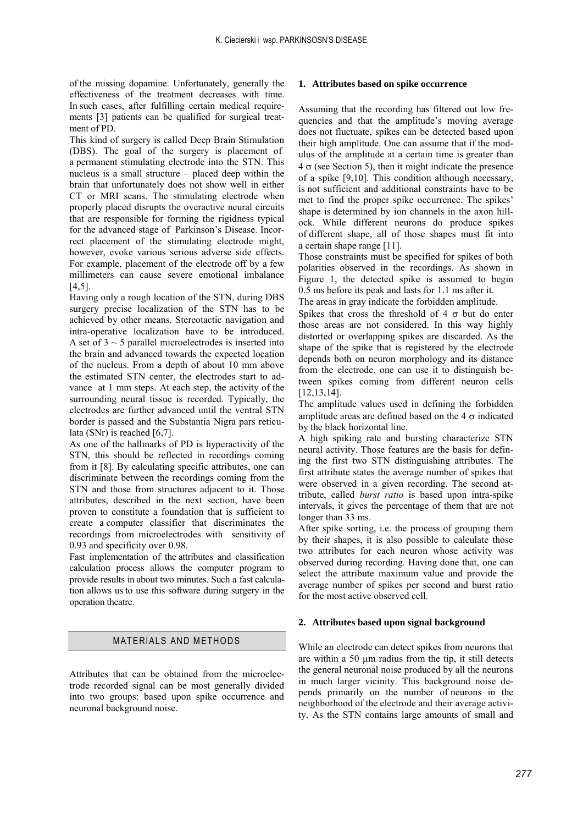of the missing dopamine. Unfortunately, generally the effectiveness of the treatment decreases with time. In such cases, after fulfilling certain medical requirements [3] patients can be qualified for surgical treatment of PD.

This kind of surgery is called Deep Brain Stimulation (DBS). The goal of the surgery is placement of a permanent stimulating electrode into the STN. This nucleus is a small structure – placed deep within the brain that unfortunately does not show well in either CT or MRI scans. The stimulating electrode when properly placed disrupts the overactive neural circuits that are responsible for forming the rigidness typical for the advanced stage of Parkinson's Disease. Incorrect placement of the stimulating electrode might, however, evoke various serious adverse side effects. For example, placement of the electrode off by a few millimeters can cause severe emotional imbalance [4,5].

Having only a rough location of the STN, during DBS surgery precise localization of the STN has to be achieved by other means. Stereotactic navigation and intra-operative localization have to be introduced. A set of  $3 \sim 5$  parallel microelectrodes is inserted into the brain and advanced towards the expected location of the nucleus. From a depth of about 10 mm above the estimated STN center, the electrodes start to advance at 1 mm steps. At each step, the activity of the surrounding neural tissue is recorded. Typically, the electrodes are further advanced until the ventral STN border is passed and the Substantia Nigra pars reticulata (SNr) is reached [6,7].

As one of the hallmarks of PD is hyperactivity of the STN, this should be reflected in recordings coming from it [8]. By calculating specific attributes, one can discriminate between the recordings coming from the STN and those from structures adjacent to it. Those attributes, described in the next section, have been proven to constitute a foundation that is sufficient to create a computer classifier that discriminates the recordings from microelectrodes with sensitivity of 0.93 and specificity over 0.98.

Fast implementation of the attributes and classification calculation process allows the computer program to provide results in about two minutes. Such a fast calculation allows us to use this software during surgery in the operation theatre.

## MATERIALS AND METHODS

Attributes that can be obtained from the microelectrode recorded signal can be most generally divided into two groups: based upon spike occurrence and neuronal background noise.

#### **1. Attributes based on spike occurrence**

Assuming that the recording has filtered out low frequencies and that the amplitude's moving average does not fluctuate, spikes can be detected based upon their high amplitude. One can assume that if the modulus of the amplitude at a certain time is greater than  $4 \sigma$  (see Section 5), then it might indicate the presence of a spike [9,10]. This condition although necessary, is not sufficient and additional constraints have to be met to find the proper spike occurrence. The spikes' shape is determined by ion channels in the axon hillock. While different neurons do produce spikes of different shape, all of those shapes must fit into a certain shape range [11].

Those constraints must be specified for spikes of both polarities observed in the recordings. As shown in Figure 1, the detected spike is assumed to begin 0.5 ms before its peak and lasts for 1.1 ms after it.

The areas in gray indicate the forbidden amplitude.

Spikes that cross the threshold of 4  $\sigma$  but do enter those areas are not considered. In this way highly distorted or overlapping spikes are discarded. As the shape of the spike that is registered by the electrode depends both on neuron morphology and its distance from the electrode, one can use it to distinguish between spikes coming from different neuron cells [12,13,14].

The amplitude values used in defining the forbidden amplitude areas are defined based on the 4  $\sigma$  indicated by the black horizontal line.

A high spiking rate and bursting characterize STN neural activity. Those features are the basis for defining the first two STN distinguishing attributes. The first attribute states the average number of spikes that were observed in a given recording. The second attribute, called *burst ratio* is based upon intra-spike intervals, it gives the percentage of them that are not longer than 33 ms.

After spike sorting, i.e. the process of grouping them by their shapes, it is also possible to calculate those two attributes for each neuron whose activity was observed during recording. Having done that, one can select the attribute maximum value and provide the average number of spikes per second and burst ratio for the most active observed cell.

#### **2. Attributes based upon signal background**

While an electrode can detect spikes from neurons that are within a 50 µm radius from the tip, it still detects the general neuronal noise produced by all the neurons in much larger vicinity. This background noise depends primarily on the number of neurons in the neighborhood of the electrode and their average activity. As the STN contains large amounts of small and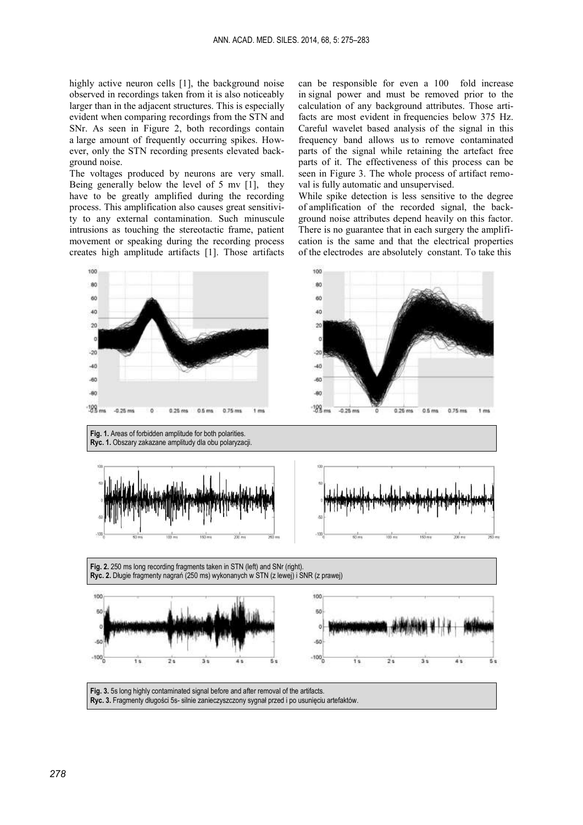highly active neuron cells [1], the background noise observed in recordings taken from it is also noticeably larger than in the adjacent structures. This is especially evident when comparing recordings from the STN and SNr. As seen in Figure 2, both recordings contain a large amount of frequently occurring spikes. However, only the STN recording presents elevated background noise.

The voltages produced by neurons are very small. Being generally below the level of 5 mv [1], they have to be greatly amplified during the recording process. This amplification also causes great sensitivity to any external contamination. Such minuscule intrusions as touching the stereotactic frame, patient movement or speaking during the recording process creates high amplitude artifacts [1]. Those artifacts

can be responsible for even a 100 fold increase in signal power and must be removed prior to the calculation of any background attributes. Those artifacts are most evident in frequencies below 375 Hz. Careful wavelet based analysis of the signal in this frequency band allows us to remove contaminated parts of the signal while retaining the artefact free parts of it. The effectiveness of this process can be seen in Figure 3. The whole process of artifact removal is fully automatic and unsupervised.

While spike detection is less sensitive to the degree of amplification of the recorded signal, the background noise attributes depend heavily on this factor. There is no guarantee that in each surgery the amplification is the same and that the electrical properties of the electrodes are absolutely constant. To take this

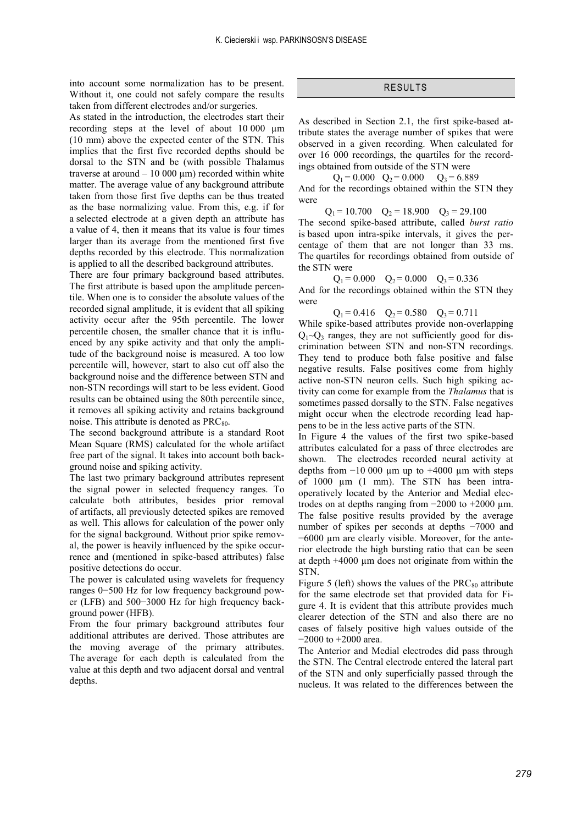into account some normalization has to be present. Without it, one could not safely compare the results taken from different electrodes and/or surgeries.

As stated in the introduction, the electrodes start their recording steps at the level of about 10 000 µm (10 mm) above the expected center of the STN. This implies that the first five recorded depths should be dorsal to the STN and be (with possible Thalamus traverse at around  $-10000 \mu m$ ) recorded within white matter. The average value of any background attribute taken from those first five depths can be thus treated as the base normalizing value. From this, e.g. if for a selected electrode at a given depth an attribute has a value of 4, then it means that its value is four times larger than its average from the mentioned first five depths recorded by this electrode. This normalization is applied to all the described background attributes.

There are four primary background based attributes. The first attribute is based upon the amplitude percentile. When one is to consider the absolute values of the recorded signal amplitude, it is evident that all spiking activity occur after the 95th percentile. The lower percentile chosen, the smaller chance that it is influenced by any spike activity and that only the amplitude of the background noise is measured. A too low percentile will, however, start to also cut off also the background noise and the difference between STN and non-STN recordings will start to be less evident. Good results can be obtained using the 80th percentile since, it removes all spiking activity and retains background noise. This attribute is denoted as  $PRC_{80}$ .

The second background attribute is a standard Root Mean Square (RMS) calculated for the whole artifact free part of the signal. It takes into account both background noise and spiking activity.

The last two primary background attributes represent the signal power in selected frequency ranges. To calculate both attributes, besides prior removal of artifacts, all previously detected spikes are removed as well. This allows for calculation of the power only for the signal background. Without prior spike removal, the power is heavily influenced by the spike occurrence and (mentioned in spike-based attributes) false positive detections do occur.

The power is calculated using wavelets for frequency ranges 0−500 Hz for low frequency background power (LFB) and 500−3000 Hz for high frequency background power (HFB).

From the four primary background attributes four additional attributes are derived. Those attributes are the moving average of the primary attributes. The average for each depth is calculated from the value at this depth and two adjacent dorsal and ventral depths.

# RESULTS

As described in Section 2.1, the first spike-based attribute states the average number of spikes that were observed in a given recording. When calculated for over 16 000 recordings, the quartiles for the recordings obtained from outside of the STN were

 $Q_1 = 0.000 \quad Q_2 = 0.000 \quad Q_3 = 6.889$ 

And for the recordings obtained within the STN they were

 $Q_1 = 10.700$   $Q_2 = 18.900$   $Q_3 = 29.100$ The second spike-based attribute, called *burst ratio* is based upon intra-spike intervals, it gives the percentage of them that are not longer than 33 ms. The quartiles for recordings obtained from outside of the STN were

 $Q_1 = 0.000 \t Q_2 = 0.000 \t Q_3 = 0.336$ And for the recordings obtained within the STN they were

 $Q_1 = 0.416$   $Q_2 = 0.580$   $Q_3 = 0.711$ 

While spike-based attributes provide non-overlapping  $Q_1 \sim Q_3$  ranges, they are not sufficiently good for discrimination between STN and non-STN recordings. They tend to produce both false positive and false negative results. False positives come from highly active non-STN neuron cells. Such high spiking activity can come for example from the *Thalamus* that is sometimes passed dorsally to the STN. False negatives might occur when the electrode recording lead happens to be in the less active parts of the STN.

In Figure 4 the values of the first two spike-based attributes calculated for a pass of three electrodes are shown. The electrodes recorded neural activity at depths from  $-10000 \mu m$  up to  $+4000 \mu m$  with steps of 1000 µm (1 mm). The STN has been intraoperatively located by the Anterior and Medial electrodes on at depths ranging from  $-2000$  to  $+2000$  µm. The false positive results provided by the average number of spikes per seconds at depths −7000 and −6000 µm are clearly visible. Moreover, for the anterior electrode the high bursting ratio that can be seen at depth +4000 µm does not originate from within the STN.

Figure 5 (left) shows the values of the  $PRC_{80}$  attribute for the same electrode set that provided data for Figure 4. It is evident that this attribute provides much clearer detection of the STN and also there are no cases of falsely positive high values outside of the −2000 to +2000 area.

The Anterior and Medial electrodes did pass through the STN. The Central electrode entered the lateral part of the STN and only superficially passed through the nucleus. It was related to the differences between the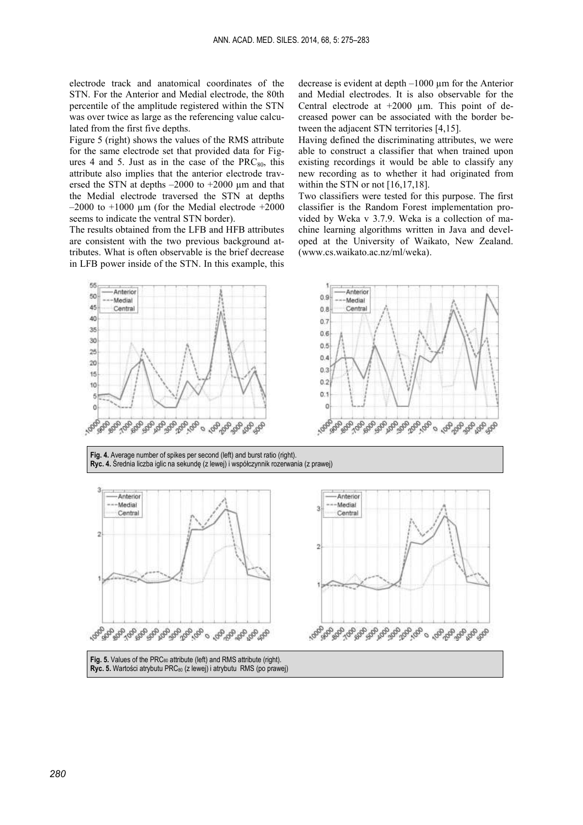electrode track and anatomical coordinates of the STN. For the Anterior and Medial electrode, the 80th percentile of the amplitude registered within the STN was over twice as large as the referencing value calculated from the first five depths.

Figure 5 (right) shows the values of the RMS attribute for the same electrode set that provided data for Figures 4 and 5. Just as in the case of the  $PRC_{80}$ , this attribute also implies that the anterior electrode traversed the STN at depths –2000 to +2000 µm and that the Medial electrode traversed the STN at depths  $-2000$  to  $+1000 \mu$ m (for the Medial electrode  $+2000$ seems to indicate the ventral STN border).

The results obtained from the LFB and HFB attributes are consistent with the two previous background attributes. What is often observable is the brief decrease in LFB power inside of the STN. In this example, this

decrease is evident at depth –1000 µm for the Anterior and Medial electrodes. It is also observable for the Central electrode at +2000 µm. This point of decreased power can be associated with the border between the adjacent STN territories [4,15].

Having defined the discriminating attributes, we were able to construct a classifier that when trained upon existing recordings it would be able to classify any new recording as to whether it had originated from within the STN or not [16,17,18].

Two classifiers were tested for this purpose. The first classifier is the Random Forest implementation provided by Weka v 3.7.9. Weka is a collection of machine learning algorithms written in Java and developed at the University of Waikato, New Zealand. (www.cs.waikato.ac.nz/ml/weka).





Fig. 4. Average number of spikes per second (left) and burst ratio (right). **Ryc. 4.** Średnia liczba iglic na sekundę (z lewej) i współczynnik rozerwania (z prawej)





Fig. 5. Values of the PRC<sub>80</sub> attribute (left) and RMS attribute (right). **Ryc. 5.** Wartości atrybutu PRC80 (z lewej) i atrybutu RMS (po prawej)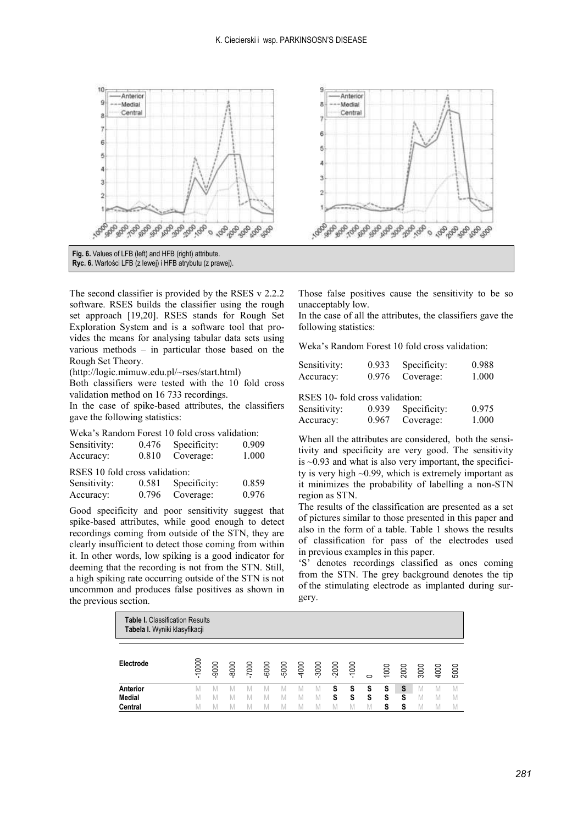

The second classifier is provided by the RSES v 2.2.2 software. RSES builds the classifier using the rough set approach [19,20]. RSES stands for Rough Set Exploration System and is a software tool that provides the means for analysing tabular data sets using various methods – in particular those based on the Rough Set Theory.

(http://logic.mimuw.edu.pl/~rses/start.html)

Both classifiers were tested with the 10 fold cross validation method on 16 733 recordings.

In the case of spike-based attributes, the classifiers gave the following statistics:

|  | Weka's Random Forest 10 fold cross validation: |
|--|------------------------------------------------|
|--|------------------------------------------------|

| Sensitivity:                   | 0.476 | Specificity: | 0.909 |  |  |  |  |  |  |  |
|--------------------------------|-------|--------------|-------|--|--|--|--|--|--|--|
| Accuracy:                      | 0.810 | Coverage:    | 1.000 |  |  |  |  |  |  |  |
| RSES 10 fold cross validation: |       |              |       |  |  |  |  |  |  |  |
| Sensitivity:                   | 0.581 | Specificity: | 0.859 |  |  |  |  |  |  |  |
| Accuracy:                      | 0.796 | Coverage:    | 0.976 |  |  |  |  |  |  |  |

Good specificity and poor sensitivity suggest that spike-based attributes, while good enough to detect recordings coming from outside of the STN, they are clearly insufficient to detect those coming from within it. In other words, low spiking is a good indicator for deeming that the recording is not from the STN. Still, a high spiking rate occurring outside of the STN is not uncommon and produces false positives as shown in the previous section.

Those false positives cause the sensitivity to be so unacceptably low.

In the case of all the attributes, the classifiers gave the following statistics:

Weka's Random Forest 10 fold cross validation:

| Sensitivity: | 0.933 | Specificity: | 0.988 |
|--------------|-------|--------------|-------|
| Accuracy:    | 0.976 | Coverage:    | 1.000 |

RSES 10- fold cross validation:

| Sensitivity: | 0.939 | Specificity: | 0.975 |
|--------------|-------|--------------|-------|
| Accuracy:    | 0.967 | Coverage:    | 1.000 |

When all the attributes are considered, both the sensitivity and specificity are very good. The sensitivity is  $\sim 0.93$  and what is also very important, the specificity is very high ~0.99, which is extremely important as it minimizes the probability of labelling a non-STN region as STN.

The results of the classification are presented as a set of pictures similar to those presented in this paper and also in the form of a table. Table 1 shows the results of classification for pass of the electrodes used in previous examples in this paper.

'S' denotes recordings classified as ones coming from the STN. The grey background denotes the tip of the stimulating electrode as implanted during surgery.

| <b>Table I.</b> Classification Results<br>Tabela I. Wyniki klasyfikacji |          |      |      |       |       |         |       |         |   |         |         |      |      |      |      |      |
|-------------------------------------------------------------------------|----------|------|------|-------|-------|---------|-------|---------|---|---------|---------|------|------|------|------|------|
|                                                                         |          |      |      |       |       |         |       |         |   |         |         |      |      |      |      |      |
| Electrode                                                               | $-10000$ | 9000 | 8000 | -7000 | -6000 | $-5000$ | -4000 | $-3000$ |   | $-1000$ | $\circ$ | 1000 | 2000 | 3000 | 4000 | 5000 |
| Anterior                                                                |          |      |      |       |       |         |       | M       | S | S       | S       | s    | S    |      |      |      |
| <b>Medial</b>                                                           |          |      |      |       |       |         |       |         | S | S       | S       | S    | S    |      |      |      |
| Central                                                                 | M        |      |      |       | M     |         |       |         |   |         | M       | s    | s    | M    | M    |      |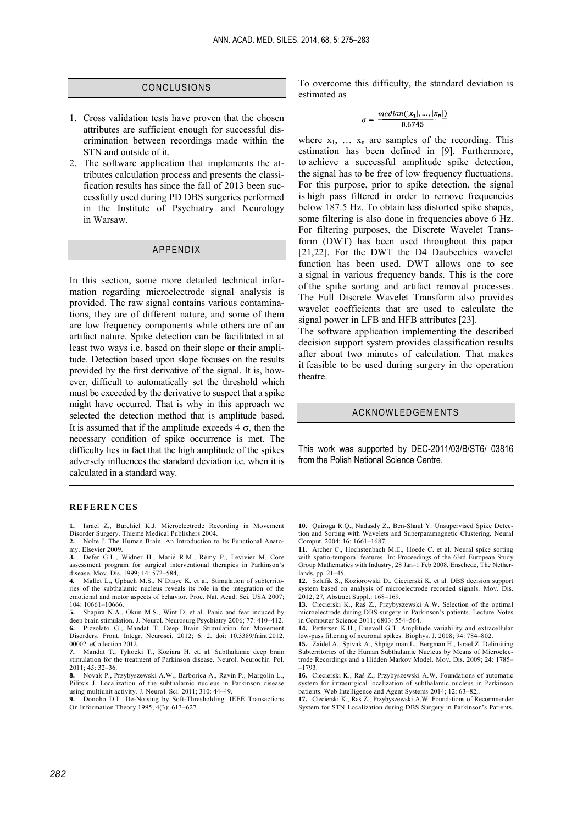#### CONCLUSIONS

- 1. Cross validation tests have proven that the chosen attributes are sufficient enough for successful discrimination between recordings made within the STN and outside of it.
- 2. The software application that implements the attributes calculation process and presents the classification results has since the fall of 2013 been successfully used during PD DBS surgeries performed in the Institute of Psychiatry and Neurology in Warsaw.

## APPENDIX

In this section, some more detailed technical information regarding microelectrode signal analysis is provided. The raw signal contains various contaminations, they are of different nature, and some of them are low frequency components while others are of an artifact nature. Spike detection can be facilitated in at least two ways i.e. based on their slope or their amplitude. Detection based upon slope focuses on the results provided by the first derivative of the signal. It is, however, difficult to automatically set the threshold which must be exceeded by the derivative to suspect that a spike might have occurred. That is why in this approach we selected the detection method that is amplitude based. It is assumed that if the amplitude exceeds  $4 \sigma$ , then the necessary condition of spike occurrence is met. The difficulty lies in fact that the high amplitude of the spikes adversely influences the standard deviation i.e. when it is calculated in a standard way.

To overcome this difficulty, the standard deviation is estimated as

$$
\sigma = \frac{median(|x_1|,\ldots,|x_n|)}{0.6745}
$$

where  $x_1$ ,  $\ldots$   $x_n$  are samples of the recording. This estimation has been defined in [9]. Furthermore, to achieve a successful amplitude spike detection, the signal has to be free of low frequency fluctuations. For this purpose, prior to spike detection, the signal is high pass filtered in order to remove frequencies below 187.5 Hz. To obtain less distorted spike shapes, some filtering is also done in frequencies above 6 Hz. For filtering purposes, the Discrete Wavelet Transform (DWT) has been used throughout this paper [21,22]. For the DWT the D4 Daubechies wavelet function has been used. DWT allows one to see a signal in various frequency bands. This is the core of the spike sorting and artifact removal processes. The Full Discrete Wavelet Transform also provides wavelet coefficients that are used to calculate the signal power in LFB and HFB attributes [23].

The software application implementing the described decision support system provides classification results after about two minutes of calculation. That makes it feasible to be used during surgery in the operation theatre.

#### ACKNOWLEDGEMENTS

This work was supported by DEC-2011/03/B/ST6/ 03816 from the Polish National Science Centre.

#### **REFERENCES**

- **1.** Israel Z., Burchiel K.J. Microelectrode Recording in Movement Disorder Surgery. Thieme Medical Publishers 2004.
- **2.** Nolte J. The Human Brain. An Introduction to Its Functional Anatomy. Elsevier 2009.
- **3.** Defer G.L., Widner H., Marié R.M., Rémy P., Levivier M. Core assessment program for surgical interventional therapies in Parkinson's disease. Mov. Dis. 1999; 14: 572–584,.
- **4.** Mallet L., Upbach M.S., N'Diaye K. et al. Stimulation of subterritories of the subthalamic nucleus reveals its role in the integration of the emotional and motor aspects of behavior. Proc. Nat. Acad. Sci. USA 2007; 104: 10661–10666.
- **5.** Shapira N.A., Okun M.S., Wint D. et al. Panic and fear induced by deep brain stimulation. J. Neurol. Neurosurg.Psychiatry 2006; 77: 410-412. **6.** Pizzolato G., Mandat T. Deep Brain Stimulation for Movement Disorders. Front. Integr. Neurosci. 2012; 6: 2. doi: 10.3389/fnint.2012. 00002. eCollection 2012.
- **7.** Mandat T., Tykocki T., Koziara H. et. al. Subthalamic deep brain stimulation for the treatment of Parkinson disease. Neurol. Neurochir. Pol. 2011; 45: 32–36.
- **8.** Novak P., Przybyszewski A.W., Barborica A., Ravin P., Margolin L., Pilitsis J. Localization of the subthalamic nucleus in Parkinson disease using multiunit activity. J. Neurol. Sci. 2011; 310: 44–49.
- **9.** Donoho D.L. De-Noising by Soft-Thresholding. IEEE Transactions On Information Theory 1995; 4(3): 613–627.

**10.** Quiroga R.Q., Nadasdy Z., Ben-Shaul Y. Unsupervised Spike Detection and Sorting with Wavelets and Superparamagnetic Clustering. Neural Comput. 2004; 16: 1661–1687.

**11.** Archer C., Hochstenbach M.E., Hoede C. et al. Neural spike sorting with spatio-temporal features. In: Proceedings of the 63rd European Study Group Mathematics with Industry, 28 Jan–1 Feb 2008, Enschede, The Netherlands, pp. 21–45.

**12.** Szlufik S., Koziorowski D., Ciecierski K. et al. DBS decision support system based on analysis of microelectrode recorded signals. Mov. Dis. 2012, 27, Abstract Suppl.: 168–169.

**13.** Ciecierski K., Raś Z., Przybyszewski A.W. Selection of the optimal microelectrode during DBS surgery in Parkinson's patients. Lecture Notes in Computer Science 2011; 6803: 554–564.

**14.** Pettersen K.H., Einevoll G.T. Amplitude variability and extracellular low-pass filtering of neuronal spikes. Biophys. J. 2008; 94: 784–802.

**15.** Zaidel A., Spivak A., Shpigelman L., Bergman H., Israel Z. Delimiting Subterritories of the Human Subthalamic Nucleus by Means of Microelectrode Recordings and a Hidden Markov Model. Mov. Dis. 2009; 24: 1785– –1793.

**16.** Ciecierski K., Raś Z., Przybyszewski A.W. Foundations of automatic system for intrasurgical localization of subthalamic nucleus in Parkinson patients. Web Intelligence and Agent Systems 2014; 12: 63–82,.

**17.** Ciecierski K., Raś Z., Przybyszewski A.W. Foundations of Recommender System for STN Localization during DBS Surgery in Parkinson's Patients.